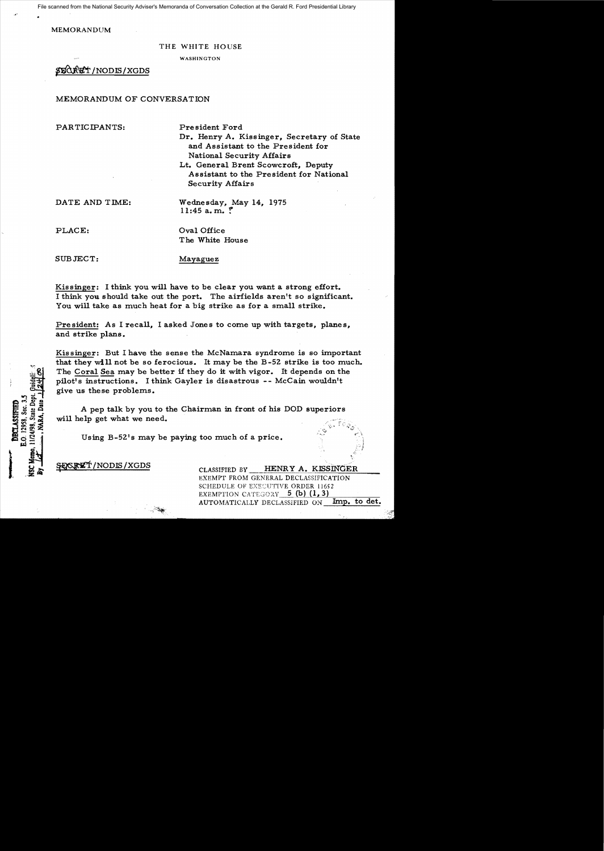File scanned from the National Security Adviser's Memoranda of Conversation Collection at the Gerald R. Ford Presidential Library

MEMORANDUM

#### THE WHITE HOUSE

WASHINGTON

## ~/NODIS/XGDS

### MEMORANDUM OF CONVERSATION

PARTICIPANTS: President Ford

Dr. Henry A. Kissinger, Secretary of State and Assistant to the President for National Security Affairs

Lt. General Brent Scowcroft. Deputy Assistant to the President for National Security Affairs

DATE AND TIME: Wednesday, May 14, 1975

PLACE:  $Oval Office$ The White House

 $11:45$  a.m. ?

E.O. 12958, Sec. 3. DECLASSIFIED

SUBJECT: Mayaguez

Kissinger: I think you will have to be clear you want a strong effort. I think you should take out the port. The airfields aren't so significant. You will take as much heat for a big strike as for a small strike.

President: As I recall, I asked Jones to come up with targets, planes, and strike plans.

Kissinger: But I have the sense the McNamara syndrome is so important that they will not be so ferocious. It may be the B-52 strike is too much. The Coral Sea may be better if they do it with vigor. It depends on the pilot's instructions. I think Gayler is disastrous -- McCain wouldn't give us these problems. The Coral Sea may be better if they do it with vigor. It depends on the pilot's instructions. I think Gayler is disastrous -- McCain wouldn't give us these problems.<br>A pep talk by you to the Chairman in front of his DOD su

A pep talk by you to the Chairman in front of his DOD superiors

Using B-52's may be paying too much of a price.

 $~\text{F66}$ RET/NODIS/XGDS CLASSIFIED BY HENRY A. KISSINGER EXEMPT FROM GENERAL DECLASSIFICATION SCHEDULE OF EXECUTIVE ORDER 11652 EXEMPTION CATEGORY  $5$  (b)  $(1,3)$ . AUTOMATICALLY DECLASSIFIED ON Imp. to det.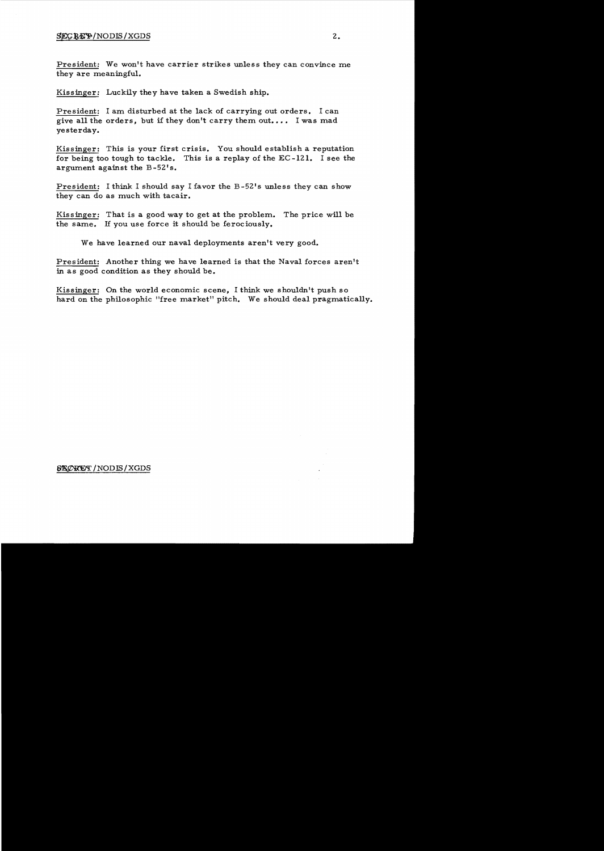## $SECBEP/NODIS/XGDS$  2.

President: We won't have carrier strikes unless they can convince me they are meaningful.

Kissinger: Luckily they have taken a Swedish ship.

President: I am disturbed at the lack of carrying out orders. I can give all the orders, but if they don't carry them out.... I was mad yesterday.

Kissinger: This is your first crisis. You should establish a reputation for being too tough to tackle. This is a replay of the EC -121. I see the argument against the B-52's.

President: I think I should say I favor the B-52's unless they can show they can do as much with tacair.

Kissinger: That is a good way to get at the problem. The price will be the same. H you use force it should be ferociously.

We have learned our naval deployments aren't very good.

President: Another thing we have learned is that the Naval forces aren't in as good condition as they should be.

Kissinger: On the world economic scene, I think we shouldn't push so hard on the philosophic "free market" pitch. We should deal pragmatically.

## /NODIS/XGDS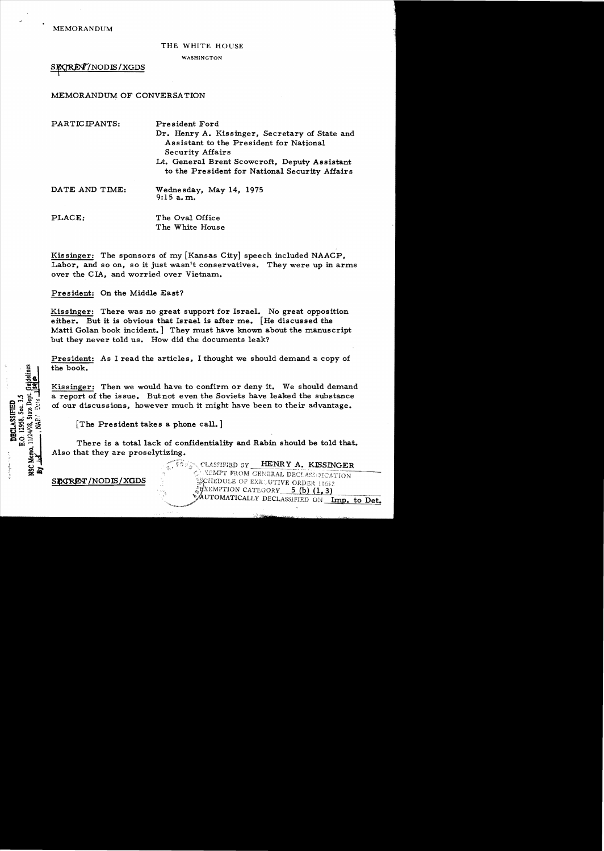MEMORANDUM

#### THE WHITE HOUSE

WASHINGTON

SECRET/NODES/XGDS

## MEMORANDUM OF CONVERSATION

| PARTICIPANTS:  | President Ford<br>Dr. Henry A. Kissinger, Secretary of State and<br>Assistant to the President for National<br><b>Security Affairs</b><br>Lt. General Brent Scowcroft, Deputy Assistant<br>to the President for National Security Affairs |
|----------------|-------------------------------------------------------------------------------------------------------------------------------------------------------------------------------------------------------------------------------------------|
| DATE AND TIME: | Wednesday, May 14, 1975<br>9:15 a.m.                                                                                                                                                                                                      |
| PLACE:         | The Oval Office                                                                                                                                                                                                                           |

Kissinger: The sponsors of my [Kansas City] speech included NAACP, Labor, and so on, so it just wasn't conservatives. They were up in arms over the CIA, and worried over Vietnam.

The White House

President: On the Middle East?

Kissinger: There was no great support for Israel. No great opposition either. But it is obvious that Israel is after me. [He discussed the Matti Golan book incident.] They must have known about the manuscript but they never told us. How did the documents leak?

President: As I read the articles, I thought we should demand a copy of the book.

Kissinger: Then we would have to confirm or deny it. We should demand a report of the issue. Butnot even the Soviets have leaked the substance of our discussions, however much it might have been to their advantage.

[The President takes a phone call.]

There is a total lack of confidentiality and Rabin should be told that. Also that they are proselytizing.

SECRET/NODIS/XGDS

12958, Sec. 3. **DECLASSIFIED** 

 $\overline{a}$ 

11/24/98, State Ž

NSC Memo,

 $\tilde{a}$ 

CLASSIFIED BY HENRY A. KISSINGER CLASSIFIED BY SCHEDULE OF EXECUTIVE ORDER 11652  $\frac{2}{3}$ WEMPTION CATEGORY 5 (b)  $(1, 3)$ MUTOMATICALLY DECLASSIFIED ON Imp. to Det.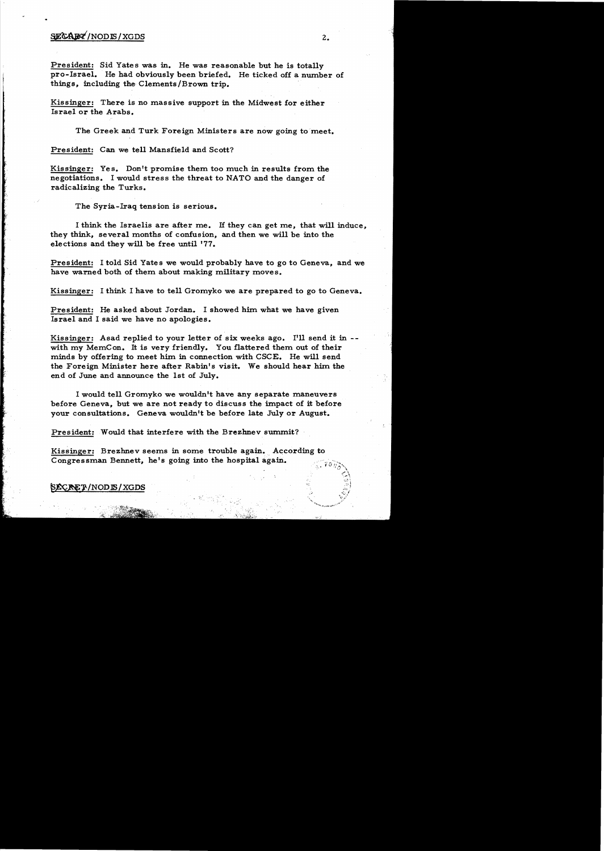# $\frac{1}{2}$   $\frac{1}{2}$

President: Sid Yates was in. He was reasonable but he is totally pro-Israel. He had obviously been briefed. He ticked off a number of things, including the Clements/Brown trip.

Kissinger: There is no massive support in the Midwest for either Israel or the Arabs.

The Greek and Turk Foreign Ministers are now going to meet.

President: Can we tell Mansfield and Scott?

Kissinger: Yes. Don't promise them too much in results from the negotiations. I would stress the threat to NATO and the danger of radicalizing the Turks.

The Syria-Iraq tension is serious.

I think the Israelis are after me. If they can get me, that will induce, they think, several months of confusion, and then we will be into the elections and they will be free until '77.

President: I told Sid Yates we would probably have to go to Geneva, and we have warned both of them about making military moves.

Kissinger: I think I have to tell Gromyko we are prepared to go to Geneva.

President: He asked about Jordan. I showed him what we have given Israel and I said we have no apologies.

Kissinger: Asad replied to your letter of six weeks ago. I'll send it in -with my MemCon. It is very friendly. You flattered them out of their minds by offering to meet him in connection with CSCE. He will send the Foreign Minister here after Rabin's visit. We should hear him the end of June and announce the 1st of July.

I would tell Gromyko we wouldn't have any separate maneuvers before Geneva, but we are not ready to discuss the impact of it before your consultations. Geneva wouldn't be before late July or August.

President: Would that interfere with the Brezhnev summit?

Kissinger: Brezhnev seems in some trouble again. According to Congressman Bennett, he's going into the hospital again.

#### ~1"NOD1S/XGDS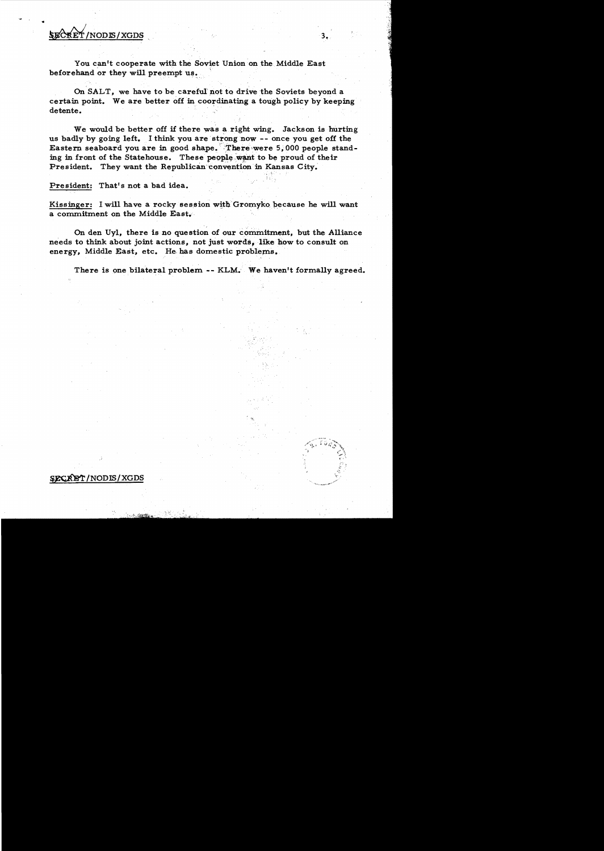# ~/NODlS/XGDS

•

You can't cooperate with the Soviet Union on the Middle East beforehand or they will preempt us.

On SALT, we have to be careful pot to drive the Soviets beyond a certain point. We are better off in coordinating a tough policy by keeping detente.

We would be better off if there was a right wing. Jackson is hurting us badly by going left. I think you are strong now -- once you get off the Eastern seaboard you are in good shape. There were 5,000 people standing in front of the Statehouse. These people want to be proud of their President. They want the Republican convention in Kansas City.

President: That's not a bad idea.

Kissinger: I will have a rocky session with Gromyko because he will want a commitment on the Middle East. '

On den Uyl, there is no question of our commitment, but the Alliance needs to think about joint actions, not just words, like how to consult on energy, Middle East, etc. He has domestic problems.

There is one bilateral problem -- KLM. We haven't formally agreed.



 $3.$ 

SECRET/NODIS/XGDS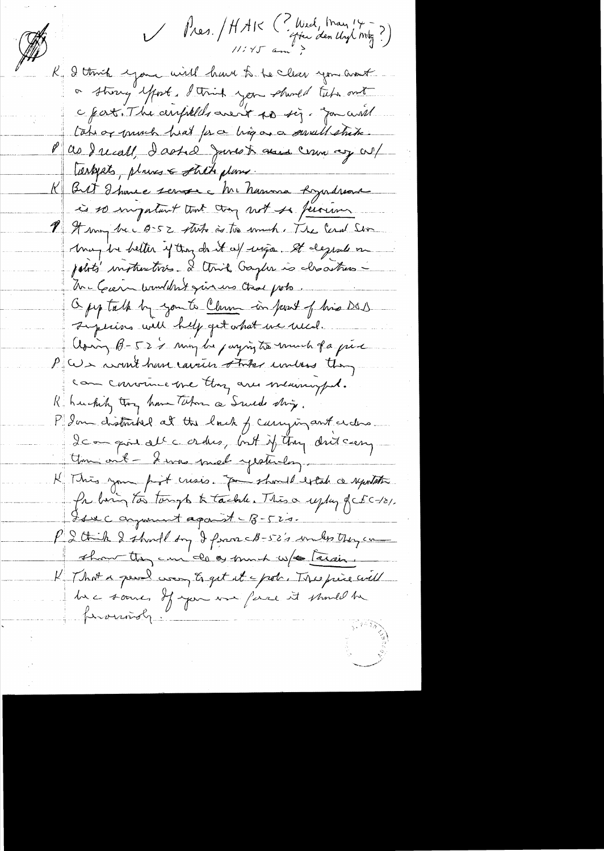Mes. / HAIK (? Wed, May 14 -)<br>Mes. / HAIK (? Wed, May 14 -) I think eyone will have to be clear you around or strong effort. I think you should take ont c fat. The arrivelles aren't to sig. you will Lahiar much heat for a ling as a swell strike. as Jucall, I asked Junes to cause comme my cul Terkpets, places & stitte plans. Bit I have serve à Mi havina Lyndreas  $\mathcal{K}_+$ is so ingestant tout try not so personne 1 I may be 0-52 that is to much. The Ceral Sin May be better y troy dant af vega. It degrade om jobits instructions. I think Gaylin is closations Mr Guern brandant qui une Chac porte Opp talk by you to Clare in food of his DOD Lysians will help get what we wed. Asing B-522 min be paying to much of a piece P We want have cause the unless they can convince me thing are meaningful. Richarding thoughout Whom a Suice ship. P Ion chatmited at the lack of carrying ant a des Ican give all c orders, but if they drit canny Uni ont - I was mad yesterday. K This your post crisis. Jou should extak a reportation for him too tongs to tackle. This a uplay of EC-121. Isse comment against - 8-520. P I think I should by I from CB-52's unles they can that they can do as much w/s Tarain. K That a peach was to get it a pole. This piece will be some, If you was face it should be foround,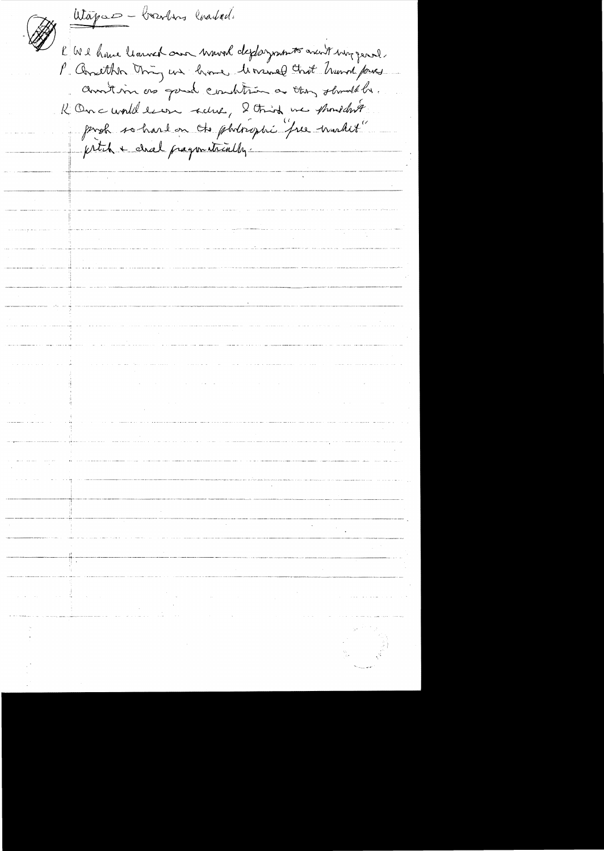Utapas - boardons coaded. E We have learned our wound deployments aven't way genel. P. Another thing we have been about hund fores Chartison as good combine a they should be. K Once would learn seine, 2 third we phoneduse proh so hard on the photosophi free worker" prtih + chal pragonatically.  $\mathcal{O}(\mathcal{O}(n^2))$  . The second constraints of the second constraints of the second constraints of  $\mathcal{O}(n^2)$  $\label{eq:2} \begin{split} \mathcal{L}_{\text{max}}(\mathcal{L}_{\text{max}}) = \mathcal{L}_{\text{max}}(\mathcal{L}_{\text{max}}) \end{split}$  $\label{eq:2.1} \mathcal{L}(\mathbf{x}) = \mathcal{L}(\mathbf{x}) \mathcal{L}(\mathbf{x}) = \mathcal{L}(\mathbf{x}) \mathcal{L}(\mathbf{x}) \mathcal{L}(\mathbf{x}) = \mathcal{L}(\mathbf{x}) \mathcal{L}(\mathbf{x})$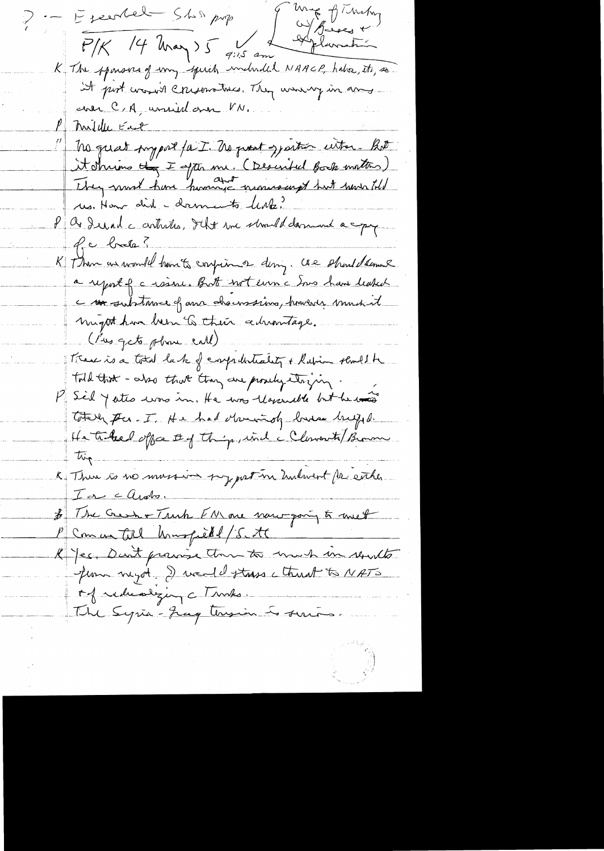ung of Tucky Executel Shirping Deux  $P/K$  /4 kmay)  $5 \frac{V}{9}$  am K The sponsors of my speech underded NAACP, habe, its, so It put was it crescionations. They were my in any avec C/A, unied ann VN. Mildle East No quat support faut. No prent symmer with hot it shrims they I spt me. (Described Book matter) us. How did - doments leak? P as derail contrites, that we should damned a copy Pe brete? K Then as would have to confirm of dany. We should semine a report of a raine. But not even a Sons have leaked c subtmace of an chairma, however much it might have been to their cedrantage. ( Bus gets plan call). Treve is a total lack of competitively + Ration should be Told that - also that they are prodyctoring P Sel y ates was in. He was lossent to be was Totally per - I. He had Municipal bureau brigged. He tribal office they find a Clementa Brown K There is no mussion surport in Indevent for eacher I a carolo. \$ The Gees + Truck FN are now party to met P Com an till hungredd Scott R' Jes. Don't prairie that to much in results Jem negot a real distress ctruck to NATO My reducting c Truts. The Syria-Jag terrin is suits.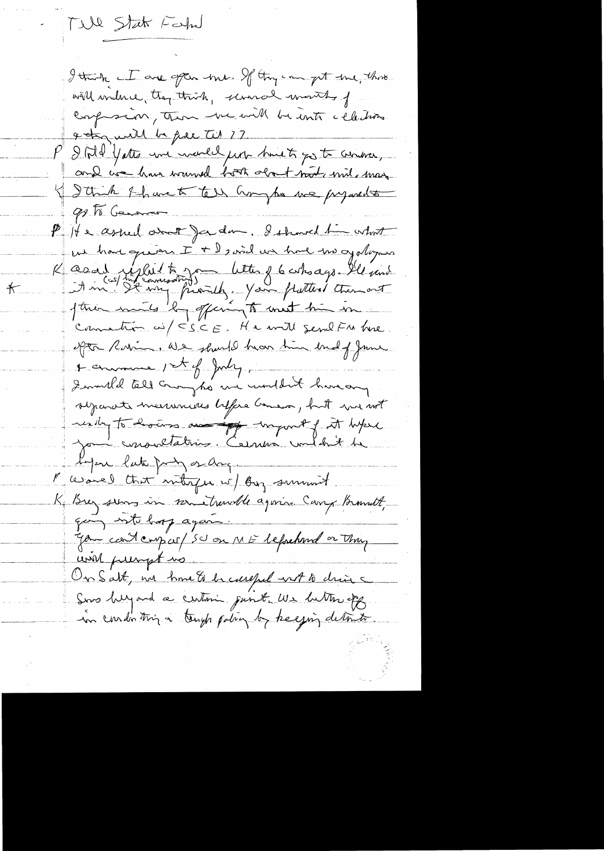Till State Fahr

I think I are often the If they can get the three will miline, they think, unanal worthy of conferren, then we will be unto celestion a to will be face til ?? Still yatte une world just hust for to conser, and we have wanted both obout not mil, may I Strik & have to tell anythe we prejudite 90 To General P He asked over Jadan. I showed the what we have quien I + 2, and we have the of playing K asal uplit to you letter of 6 who ago. Il und ption muito la offering to meet him in connaction us/ CSCE. He will send Fu hre. opta Robin, We should have him budg June + enumere 1st of July Iwould tell crouz to me wouldn't have any sycanote measureuses before Genera, huit was not undry to how an an export of it like James consultations. Cernes content de Lyon late pry or ang. Pursuel that mitingen is By surrount. Ki Brez serves in sometrande again. Carry Brandt, going not bop again. Jan coit compas/ 50 on ME leforehand or thing will present us. Un Salt, un home & la careful ent le chaire Sons helpand a certain junt we better off

 $\bigstar$